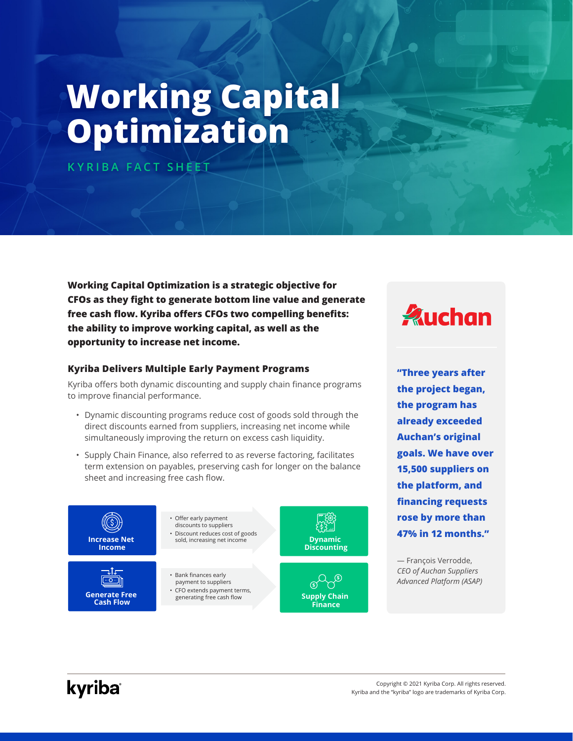# **Working Capital Optimization**

**KYRIBA FACT SHEET**

**Working Capital Optimization is a strategic objective for CFOs as they fight to generate bottom line value and generate free cash flow. Kyriba offers CFOs two compelling benefits: the ability to improve working capital, as well as the opportunity to increase net income.**

#### **Kyriba Delivers Multiple Early Payment Programs**

Kyriba offers both dynamic discounting and supply chain finance programs to improve financial performance.

- Dynamic discounting programs reduce cost of goods sold through the direct discounts earned from suppliers, increasing net income while simultaneously improving the return on excess cash liquidity.
- Supply Chain Finance, also referred to as reverse factoring, facilitates term extension on payables, preserving cash for longer on the balance sheet and increasing free cash flow.





**"Three years after the project began, the program has already exceeded Auchan's original goals. We have over 15,500 suppliers on the platform, and financing requests rose by more than 47% in 12 months."**

— François Verrodde, *CEO of Auchan Suppliers Advanced Platform (ASAP)*

## kyriba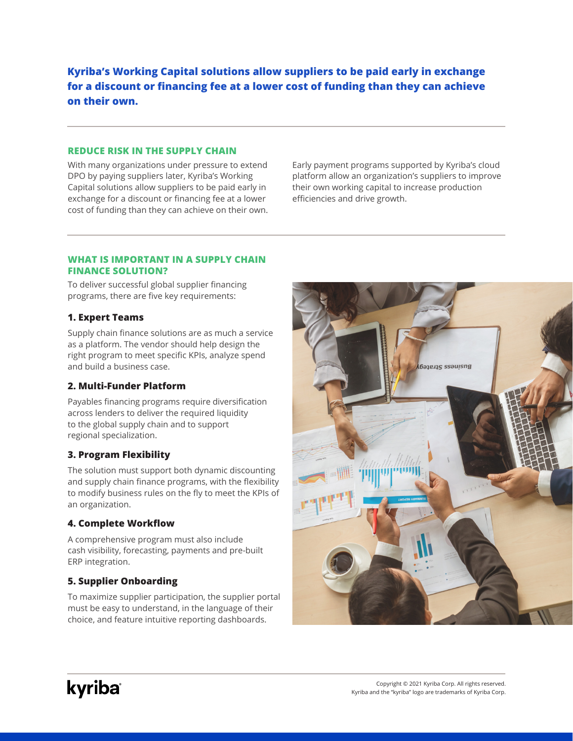**Kyriba's Working Capital solutions allow suppliers to be paid early in exchange for a discount or financing fee at a lower cost of funding than they can achieve on their own.** 

#### **REDUCE RISK IN THE SUPPLY CHAIN**

With many organizations under pressure to extend DPO by paying suppliers later, Kyriba's Working Capital solutions allow suppliers to be paid early in exchange for a discount or financing fee at a lower cost of funding than they can achieve on their own. Early payment programs supported by Kyriba's cloud platform allow an organization's suppliers to improve their own working capital to increase production efficiencies and drive growth.

#### **WHAT IS IMPORTANT IN A SUPPLY CHAIN FINANCE SOLUTION?**

To deliver successful global supplier financing programs, there are five key requirements:

#### **1. Expert Teams**

Supply chain finance solutions are as much a service as a platform. The vendor should help design the right program to meet specific KPIs, analyze spend and build a business case.

#### **2. Multi-Funder Platform**

Payables financing programs require diversification across lenders to deliver the required liquidity to the global supply chain and to support regional specialization.

#### **3. Program Flexibility**

The solution must support both dynamic discounting and supply chain finance programs, with the flexibility to modify business rules on the fly to meet the KPIs of an organization.

#### **4. Complete Workflow**

A comprehensive program must also include cash visibility, forecasting, payments and pre-built ERP integration.

### **5. Supplier Onboarding**

To maximize supplier participation, the supplier portal must be easy to understand, in the language of their choice, and feature intuitive reporting dashboards.